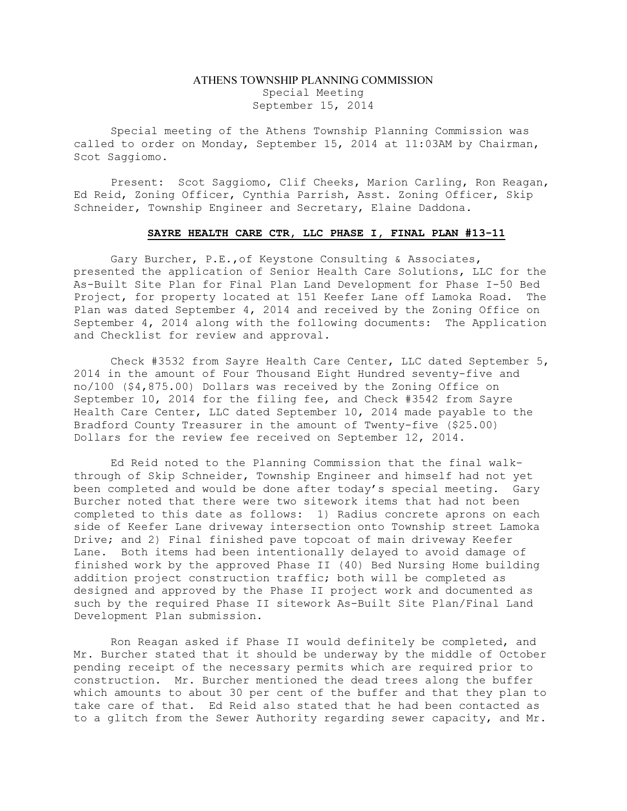## ATHENS TOWNSHIP PLANNING COMMISSION Special Meeting September 15, 2014

Special meeting of the Athens Township Planning Commission was called to order on Monday, September 15, 2014 at 11:03AM by Chairman, Scot Saggiomo.

Present: Scot Saggiomo, Clif Cheeks, Marion Carling, Ron Reagan, Ed Reid, Zoning Officer, Cynthia Parrish, Asst. Zoning Officer, Skip Schneider, Township Engineer and Secretary, Elaine Daddona.

## SAYRE HEALTH CARE CTR, LLC PHASE I, FINAL PLAN #13-11

Gary Burcher, P.E.,of Keystone Consulting & Associates, presented the application of Senior Health Care Solutions, LLC for the As-Built Site Plan for Final Plan Land Development for Phase I-50 Bed Project, for property located at 151 Keefer Lane off Lamoka Road. The Plan was dated September 4, 2014 and received by the Zoning Office on September 4, 2014 along with the following documents: The Application and Checklist for review and approval.

Check #3532 from Sayre Health Care Center, LLC dated September 5, 2014 in the amount of Four Thousand Eight Hundred seventy-five and no/100 (\$4,875.00) Dollars was received by the Zoning Office on September 10, 2014 for the filing fee, and Check #3542 from Sayre Health Care Center, LLC dated September 10, 2014 made payable to the Bradford County Treasurer in the amount of Twenty-five (\$25.00) Dollars for the review fee received on September 12, 2014.

Ed Reid noted to the Planning Commission that the final walkthrough of Skip Schneider, Township Engineer and himself had not yet been completed and would be done after today's special meeting. Gary Burcher noted that there were two sitework items that had not been completed to this date as follows: 1) Radius concrete aprons on each side of Keefer Lane driveway intersection onto Township street Lamoka Drive; and 2) Final finished pave topcoat of main driveway Keefer Lane. Both items had been intentionally delayed to avoid damage of finished work by the approved Phase II (40) Bed Nursing Home building addition project construction traffic; both will be completed as designed and approved by the Phase II project work and documented as such by the required Phase II sitework As-Built Site Plan/Final Land Development Plan submission.

Ron Reagan asked if Phase II would definitely be completed, and Mr. Burcher stated that it should be underway by the middle of October pending receipt of the necessary permits which are required prior to construction. Mr. Burcher mentioned the dead trees along the buffer which amounts to about 30 per cent of the buffer and that they plan to take care of that. Ed Reid also stated that he had been contacted as to a glitch from the Sewer Authority regarding sewer capacity, and Mr.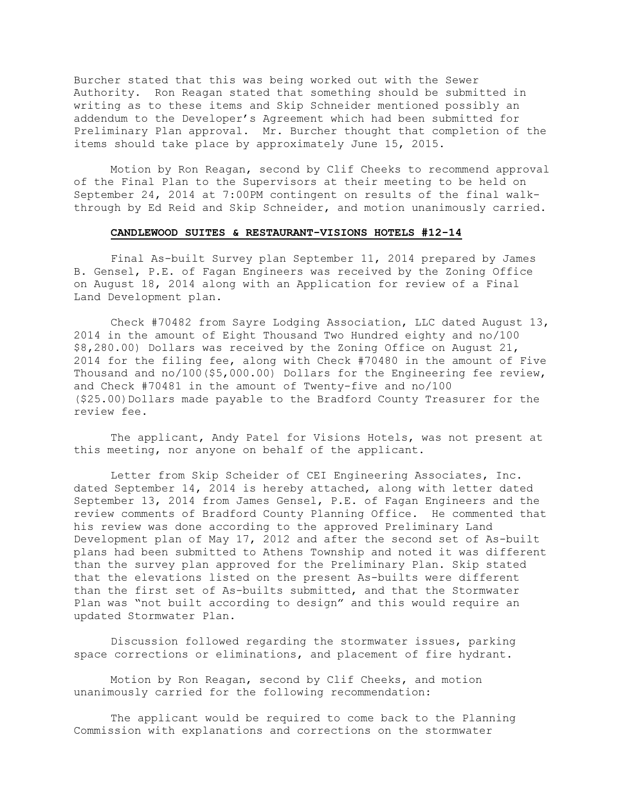Burcher stated that this was being worked out with the Sewer Authority. Ron Reagan stated that something should be submitted in writing as to these items and Skip Schneider mentioned possibly an addendum to the Developer's Agreement which had been submitted for Preliminary Plan approval. Mr. Burcher thought that completion of the items should take place by approximately June 15, 2015.

Motion by Ron Reagan, second by Clif Cheeks to recommend approval of the Final Plan to the Supervisors at their meeting to be held on September 24, 2014 at 7:00PM contingent on results of the final walkthrough by Ed Reid and Skip Schneider, and motion unanimously carried.

## CANDLEWOOD SUITES & RESTAURANT-VISIONS HOTELS #12-14

Final As-built Survey plan September 11, 2014 prepared by James B. Gensel, P.E. of Fagan Engineers was received by the Zoning Office on August 18, 2014 along with an Application for review of a Final Land Development plan.

Check #70482 from Sayre Lodging Association, LLC dated August 13, 2014 in the amount of Eight Thousand Two Hundred eighty and no/100 \$8,280.00) Dollars was received by the Zoning Office on August 21, 2014 for the filing fee, along with Check #70480 in the amount of Five Thousand and no/100(\$5,000.00) Dollars for the Engineering fee review, and Check #70481 in the amount of Twenty-five and no/100 (\$25.00)Dollars made payable to the Bradford County Treasurer for the review fee.

The applicant, Andy Patel for Visions Hotels, was not present at this meeting, nor anyone on behalf of the applicant.

Letter from Skip Scheider of CEI Engineering Associates, Inc. dated September 14, 2014 is hereby attached, along with letter dated September 13, 2014 from James Gensel, P.E. of Fagan Engineers and the review comments of Bradford County Planning Office. He commented that his review was done according to the approved Preliminary Land Development plan of May 17, 2012 and after the second set of As-built plans had been submitted to Athens Township and noted it was different than the survey plan approved for the Preliminary Plan. Skip stated that the elevations listed on the present As-builts were different than the first set of As-builts submitted, and that the Stormwater Plan was "not built according to design" and this would require an updated Stormwater Plan.

Discussion followed regarding the stormwater issues, parking space corrections or eliminations, and placement of fire hydrant.

Motion by Ron Reagan, second by Clif Cheeks, and motion unanimously carried for the following recommendation:

The applicant would be required to come back to the Planning Commission with explanations and corrections on the stormwater